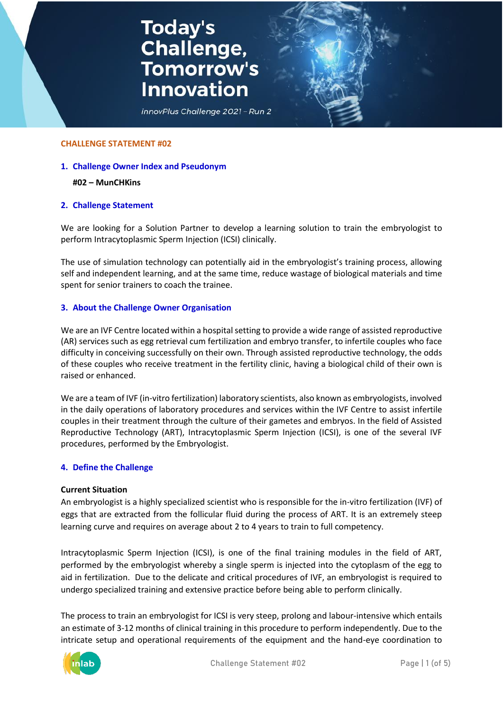# **Today's<br>Challenge,<br>Tomorrow's Innovation**



## **CHALLENGE STATEMENT #02**

**1. Challenge Owner Index and Pseudonym**

### **#02 – MunCHKins**

## **2. Challenge Statement**

We are looking for a Solution Partner to develop a learning solution to train the embryologist to perform Intracytoplasmic Sperm Injection (ICSI) clinically.

The use of simulation technology can potentially aid in the embryologist's training process, allowing self and independent learning, and at the same time, reduce wastage of biological materials and time spent for senior trainers to coach the trainee.

## **3. About the Challenge Owner Organisation**

We are an IVF Centre located within a hospital setting to provide a wide range of assisted reproductive (AR) services such as egg retrieval cum fertilization and embryo transfer, to infertile couples who face difficulty in conceiving successfully on their own. Through assisted reproductive technology, the odds of these couples who receive treatment in the fertility clinic, having a biological child of their own is raised or enhanced.

We are a team of IVF (in-vitro fertilization) laboratory scientists, also known as embryologists, involved in the daily operations of laboratory procedures and services within the IVF Centre to assist infertile couples in their treatment through the culture of their gametes and embryos. In the field of Assisted Reproductive Technology (ART), Intracytoplasmic Sperm Injection (ICSI), is one of the several IVF procedures, performed by the Embryologist.

### **4. Define the Challenge**

#### **Current Situation**

An embryologist is a highly specialized scientist who is responsible for the in-vitro fertilization (IVF) of eggs that are extracted from the follicular fluid during the process of ART. It is an extremely steep learning curve and requires on average about 2 to 4 years to train to full competency.

Intracytoplasmic Sperm Injection (ICSI), is one of the final training modules in the field of ART, performed by the embryologist whereby a single sperm is injected into the cytoplasm of the egg to aid in fertilization. Due to the delicate and critical procedures of IVF, an embryologist is required to undergo specialized training and extensive practice before being able to perform clinically.

The process to train an embryologist for ICSI is very steep, prolong and labour-intensive which entails an estimate of 3-12 months of clinical training in this procedure to perform independently. Due to the intricate setup and operational requirements of the equipment and the hand-eye coordination to

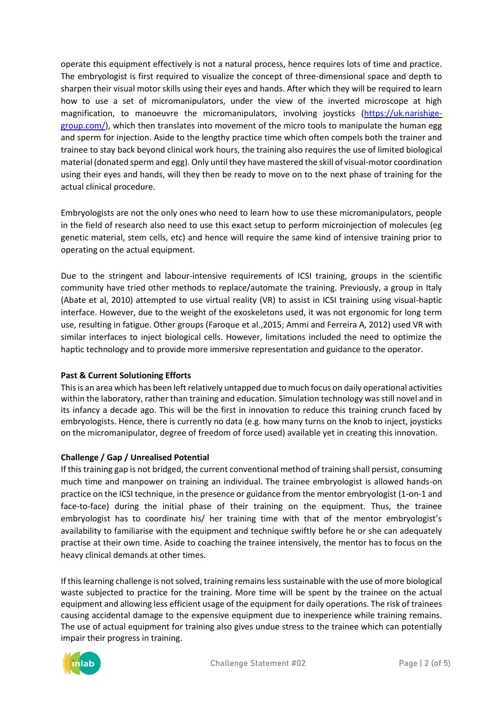operate this equipment effectively is not a natural process, hence requires lots of time and practice. The embryologist is first required to visualize the concept of three-dimensional space and depth to sharpen their visual motor skills using their eyes and hands. After which they will be required to learn how to use a set of micromanipulators, under the view of the inverted microscope at high magnification, to manoeuvre the micromanipulators, involving joysticks [\(https://uk.narishige](https://uk.narishige-group.com/) $group.com$ ), which then translates into movement of the micro tools to manipulate the human egg and sperm for injection. Aside to the lengthy practice time which often compels both the trainer and trainee to stay back beyond clinical work hours, the training also requires the use of limited biological material (donated sperm and egg). Only until they have mastered the skill of visual-motor coordination using their eyes and hands, will they then be ready to move on to the next phase of training for the actual clinical procedure.

Embryologists are not the only ones who need to learn how to use these micromanipulators, people in the field of research also need to use this exact setup to perform microinjection of molecules (eg genetic material, stem cells, etc) and hence will require the same kind of intensive training prior to operating on the actual equipment.

Due to the stringent and labour-intensive requirements of ICSI training, groups in the scientific community have tried other methods to replace/automate the training. Previously, a group in Italy (Abate et al, 2010) attempted to use virtual reality (VR) to assist in ICSI training using visual-haptic interface. However, due to the weight of the exoskeletons used, it was not ergonomic for long term use, resulting in fatigue. Other groups (Faroque et al.,2015; Ammi and Ferreira A, 2012) used VR with similar interfaces to inject biological cells. However, limitations included the need to optimize the haptic technology and to provide more immersive representation and guidance to the operator.

# **Past & Current Solutioning Efforts**

This is an area which has been left relatively untapped due to much focus on daily operational activities within the laboratory, rather than training and education. Simulation technology was still novel and in its infancy a decade ago. This will be the first in innovation to reduce this training crunch faced by embryologists. Hence, there is currently no data (e.g. how many turns on the knob to inject, joysticks on the micromanipulator, degree of freedom of force used) available yet in creating this innovation.

# **Challenge / Gap / Unrealised Potential**

If this training gap is not bridged, the current conventional method of training shall persist, consuming much time and manpower on training an individual. The trainee embryologist is allowed hands-on practice on the ICSI technique, in the presence or guidance from the mentor embryologist (1-on-1 and face-to-face) during the initial phase of their training on the equipment. Thus, the trainee embryologist has to coordinate his/ her training time with that of the mentor embryologist's availability to familiarise with the equipment and technique swiftly before he or she can adequately practise at their own time. Aside to coaching the trainee intensively, the mentor has to focus on the heavy clinical demands at other times.

If this learning challenge is not solved, training remains less sustainable with the use of more biological waste subjected to practice for the training. More time will be spent by the trainee on the actual equipment and allowing less efficient usage of the equipment for daily operations. The risk of trainees causing accidental damage to the expensive equipment due to inexperience while training remains. The use of actual equipment for training also gives undue stress to the trainee which can potentially impair their progress in training.

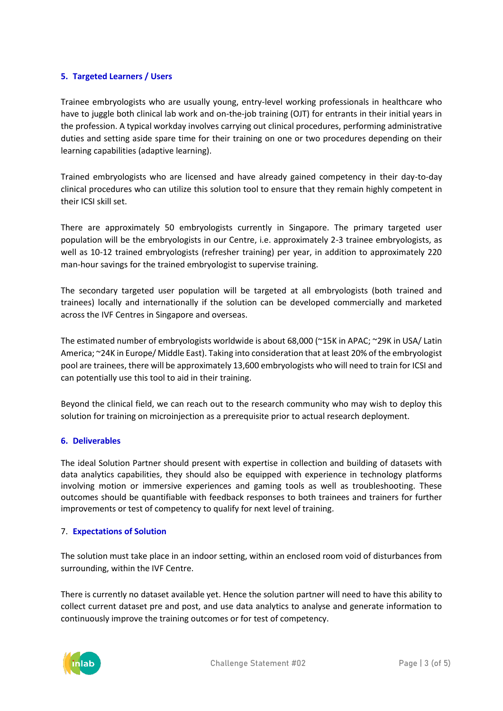# **5. Targeted Learners / Users**

Trainee embryologists who are usually young, entry-level working professionals in healthcare who have to juggle both clinical lab work and on-the-job training (OJT) for entrants in their initial years in the profession. A typical workday involves carrying out clinical procedures, performing administrative duties and setting aside spare time for their training on one or two procedures depending on their learning capabilities (adaptive learning).

Trained embryologists who are licensed and have already gained competency in their day-to-day clinical procedures who can utilize this solution tool to ensure that they remain highly competent in their ICSI skill set.

There are approximately 50 embryologists currently in Singapore. The primary targeted user population will be the embryologists in our Centre, i.e. approximately 2-3 trainee embryologists, as well as 10-12 trained embryologists (refresher training) per year, in addition to approximately 220 man-hour savings for the trained embryologist to supervise training.

The secondary targeted user population will be targeted at all embryologists (both trained and trainees) locally and internationally if the solution can be developed commercially and marketed across the IVF Centres in Singapore and overseas.

The estimated number of embryologists worldwide is about 68,000 (~15K in APAC; ~29K in USA/ Latin America; ~24K in Europe/ Middle East). Taking into consideration that at least 20% of the embryologist pool are trainees, there will be approximately 13,600 embryologists who will need to train for ICSI and can potentially use this tool to aid in their training.

Beyond the clinical field, we can reach out to the research community who may wish to deploy this solution for training on microinjection as a prerequisite prior to actual research deployment.

## **6. Deliverables**

The ideal Solution Partner should present with expertise in collection and building of datasets with data analytics capabilities, they should also be equipped with experience in technology platforms involving motion or immersive experiences and gaming tools as well as troubleshooting. These outcomes should be quantifiable with feedback responses to both trainees and trainers for further improvements or test of competency to qualify for next level of training.

## 7. **Expectations of Solution**

The solution must take place in an indoor setting, within an enclosed room void of disturbances from surrounding, within the IVF Centre.

There is currently no dataset available yet. Hence the solution partner will need to have this ability to collect current dataset pre and post, and use data analytics to analyse and generate information to continuously improve the training outcomes or for test of competency.

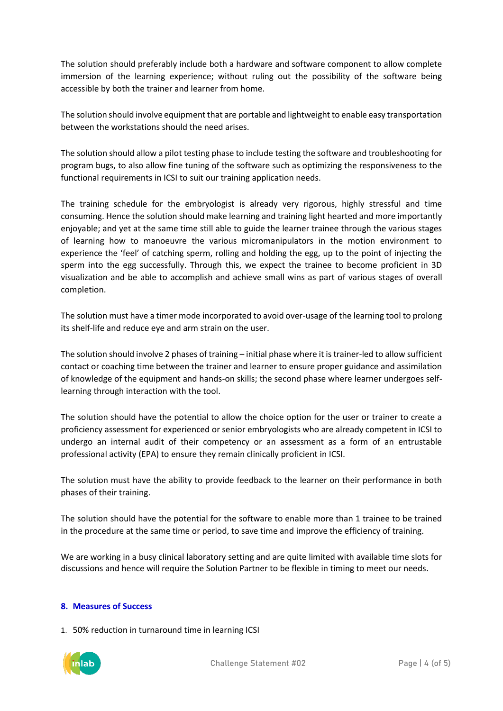The solution should preferably include both a hardware and software component to allow complete immersion of the learning experience; without ruling out the possibility of the software being accessible by both the trainer and learner from home.

The solution should involve equipment that are portable and lightweight to enable easy transportation between the workstations should the need arises.

The solution should allow a pilot testing phase to include testing the software and troubleshooting for program bugs, to also allow fine tuning of the software such as optimizing the responsiveness to the functional requirements in ICSI to suit our training application needs.

The training schedule for the embryologist is already very rigorous, highly stressful and time consuming. Hence the solution should make learning and training light hearted and more importantly enjoyable; and yet at the same time still able to guide the learner trainee through the various stages of learning how to manoeuvre the various micromanipulators in the motion environment to experience the 'feel' of catching sperm, rolling and holding the egg, up to the point of injecting the sperm into the egg successfully. Through this, we expect the trainee to become proficient in 3D visualization and be able to accomplish and achieve small wins as part of various stages of overall completion.

The solution must have a timer mode incorporated to avoid over-usage of the learning tool to prolong its shelf-life and reduce eye and arm strain on the user.

The solution should involve 2 phases of training – initial phase where it is trainer-led to allow sufficient contact or coaching time between the trainer and learner to ensure proper guidance and assimilation of knowledge of the equipment and hands-on skills; the second phase where learner undergoes selflearning through interaction with the tool.

The solution should have the potential to allow the choice option for the user or trainer to create a proficiency assessment for experienced or senior embryologists who are already competent in ICSI to undergo an internal audit of their competency or an assessment as a form of an entrustable professional activity (EPA) to ensure they remain clinically proficient in ICSI.

The solution must have the ability to provide feedback to the learner on their performance in both phases of their training.

The solution should have the potential for the software to enable more than 1 trainee to be trained in the procedure at the same time or period, to save time and improve the efficiency of training.

We are working in a busy clinical laboratory setting and are quite limited with available time slots for discussions and hence will require the Solution Partner to be flexible in timing to meet our needs.

## **8. Measures of Success**

1. 50% reduction in turnaround time in learning ICSI